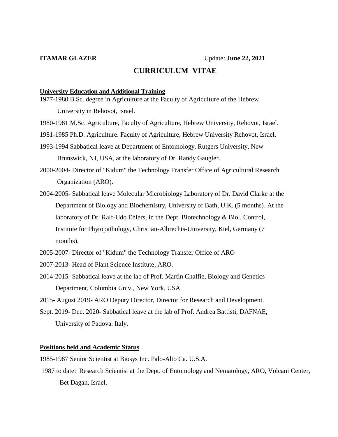# **CURRICULUM VITAE**

#### **University Education and Additional Training**

- 1977-1980 B.Sc. degree in Agriculture at the Faculty of Agriculture of the Hebrew University in Rehovot, Israel.
- 1980-1981 M.Sc. Agriculture, Faculty of Agriculture, Hebrew University, Rehovot, Israel.
- 1981-1985 Ph.D. Agriculture. Faculty of Agriculture, Hebrew University Rehovot, Israel.
- 1993-1994 Sabbatical leave at Department of Entomology, Rutgers University, New Brunswick, NJ, USA, at the laboratory of Dr. Randy Gaugler.
- 2000-2004- Director of "Kidum" the Technology Transfer Office of Agricultural Research Organization (ARO).
- 2004-2005- Sabbatical leave Molecular Microbiology Laboratory of Dr. David Clarke at the Department of Biology and Biochemistry, University of Bath, U.K. (5 months). At the laboratory of Dr. Ralf-Udo Ehlers, in the Dept. Biotechnology & Biol. Control, Institute for Phytopathology, Christian-Albrechts-University, Kiel, Germany (7 months).
- 2005-2007- Director of "Kidum" the Technology Transfer Office of ARO
- 2007-2013- Head of Plant Science Institute, ARO.
- 2014-2015- Sabbatical leave at the lab of Prof. Martin Chalfie, Biology and Genetics Department, Columbia Univ., New York, USA.
- 2015- August 2019- ARO Deputy Director, Director for Research and Development.
- Sept. 2019- Dec. 2020- Sabbatical leave at the lab of Prof. Andrea Battisti, DAFNAE, University of Padova. Italy.

### **Positions held and Academic Status**

1985-1987 Senior Scientist at Biosys Inc. Palo-Alto Ca. U.S.A.

1987 to date: Research Scientist at the Dept. of Entomology and Nematology, ARO, Volcani Center, Bet Dagan, Israel.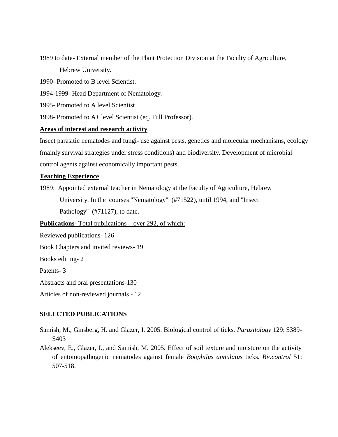- 1989 to date- External member of the Plant Protection Division at the Faculty of Agriculture, Hebrew University.
- 1990- Promoted to B level Scientist.
- 1994-1999- Head Department of Nematology.
- 1995- Promoted to A level Scientist
- 1998- Promoted to A+ level Scientist (eq. Full Professor).

# **Areas of interest and research activity**

Insect parasitic nematodes and fungi- use against pests, genetics and molecular mechanisms, ecology (mainly survival strategies under stress conditions) and biodiversity. Development of microbial control agents against economically important pests.

# **Teaching Experience**

1989: Appointed external teacher in Nematology at the Faculty of Agriculture, Hebrew University. In the courses "Nematology" (#71522), until 1994, and "Insect Pathology" (#71127), to date.

**Publications-** Total publications – over 292, of which:

Reviewed publications- 126

Book Chapters and invited reviews- 19

Books editing- 2

Patents- 3

Abstracts and oral presentations-130

Articles of non-reviewed journals - 12

# **SELECTED PUBLICATIONS**

- Samish, M., Ginsberg, H. and Glazer, I. 2005. Biological control of ticks. *Parasitology* 129: S389- S403
- Alekseev, E., Glazer, I., and Samish, M. 2005. Effect of soil texture and moisture on the activity of entomopathogenic nematodes against female *Boophilus annulatus* ticks. *Biocontrol* 51: 507-518.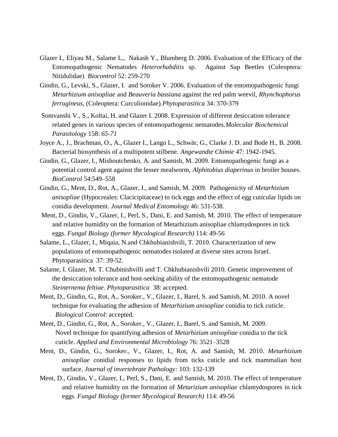- Glazer I., Eliyau M., Salame L., Nakash Y., Blumberg D. 2006. Evaluation of the Efficacy of the Entomopathogenic Nematodes *Heterorhabditis* sp. Against Sap Beetles (Coleoptera: Nitidulidae) *Biocontrol* 52: 259-270
- Gindin, G., Levski, S., Glazer, I. and Soroker V. 2006. Evaluation of the entomopathogenic fungi *Metarhizium anisopliae* and *Beauveria bassiana* against the red palm weevil, *Rhynchophorus ferrugineus*, (Coleoptera: Curculionidae)*.Phytoparasitica* 34: 370-379
- Somvanshi V., S., Koltai, H. and Glazer I. 2008. Expression of different desiccation tolerance related genes in various species of entomopathogenic nematodes.*Molecular Biochemical Parasitology* 158: *65-71*
- Joyce A., J., Brachman, O., A., Glazer I., Lango L., Schwär, G., Clarke J. D. and Bode H., B. 2008. Bacterial biosynthesis of a multipotent stilbene. *Angewandte Chimie* 47: 1942-1945.
- Gindin, G., Glazer, I., Mishoutchenko, A. and Samish, M. 2009. Entomopathogenic fungi as a potential control agent against the lesser mealworm, *Alphitobius diaperinus* in broiler houses. *BioControl* 54:549–558
- Gindin, G., Ment, D., Rot, A., Glazer, I., and Samish, M. 2009. Pathogenicity of *Metarhizium anisopliae* (Hypocreales: Clacicipitaceae) to tick eggs and the effect of egg cuticular lipids on conidia development. *Journal Medical Entomology* 46: 531-538.
- Ment, D., Gindin, V., Glazer, I., Perl, S., Dani, E. and Samish, M. 2010. The effect of temperature and relative humidity on the formation of Metarhizium anisopliae chlamydospores in tick eggs. *Fungal Biology (former Mycological Research)* 114: 49-56
- Salame, L., Glazer, I., Miqaia, N.and Chkhubianishvili, T. 2010. Characterization of new populations of entomopathogenic nematodes isolated at diverse sites across Israel. Phytoparasitica 37: 39-52.
- Salame, I. Glazer, M. T. Chubinishvilli and T. Chkhubianishvili 2010. Genetic improvement of the desiccation tolerance and host-seeking ability of the entomopathogenic nematode *Steinernema feltiae. Phytoparasitica* 38: accepted.
- Ment, D., Gindin, G., Rot, A., Soroker., V., Glazer, I., Barel, S. and Samish, M. 2010. A novel technique for evaluating the adhesion of *Metarhizium anisopliae* conidia to tick cuticle. *Biological Control*: accepted.
- Ment, D., Gindin, G., Rot, A., Soroker., V., Glazer, I., Barel, S. and Samish, M. 2009. Novel technique for quantifying adhesion of *Metarhizium anisopliae* conidia to the tick cuticle. *Applied and Environmental Microbiology* 76: 3521–3528
- Ment, D., Gindin, G., Soroker., V., Glazer, I., Rot, A. and Samish, M. 2010. *Metarhizium anisopliae* conidial responses to lipids from ticks cuticle and tick mammalian host surface. *Journal of invertebrate Pathology:* 103: 132-139
- Ment, D., Gindin, V., Glazer, I., Perl, S., Dani, E. and Samish, M. 2010. The effect of temperature and relative humidity on the formation of *Metarizium anisopliae* chlamydospores in tick eggs. *Fungal Biology (former Mycological Research)* 114: 49-56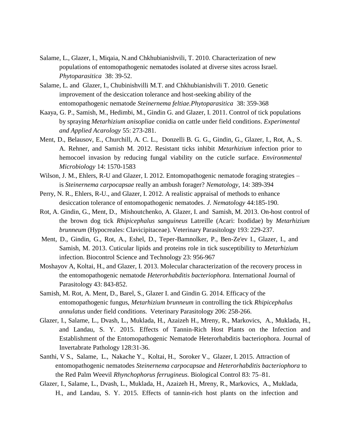- Salame, L., Glazer, I., Miqaia, N.and Chkhubianishvili, T. 2010. Characterization of new populations of entomopathogenic nematodes isolated at diverse sites across Israel. *Phytoparasitica* 38: 39-52.
- Salame, L. and Glazer, I., Chubinishvilli M.T. and Chkhubianishvili T. 2010. Genetic improvement of the desiccation tolerance and host-seeking ability of the entomopathogenic nematode *Steinernema feltiae.Phytoparasitica* 38: 359-368
- Kaaya, G. P., Samish, M., Hedimbi, M., Gindin G. and Glazer, I. 2011. Control of tick populations by spraying *Metarhizium anisopliae* conidia on cattle under field conditions. *Experimental and Applied Acarology* 55: 273-281.
- Ment, D., Belausov, E., Churchill, A. C. L., Donzelli B. G. G., Gindin, G., Glazer, I., Rot, A., S. A. Rehner, and Samish M. 2012. Resistant ticks inhibit *Metarhizium* infection prior to hemocoel invasion by reducing fungal viability on the cuticle surface. *Environmental Microbiology* 14: 1570-1583
- Wilson, J. M., Ehlers, R-U and Glazer, I. 2012. Entomopathogenic nematode foraging strategies is *Steinernema carpocapsae* really an ambush forager? *Nematology*, 14: 389-394
- Perry, N. R., Ehlers, R-U., and Glazer, I. 2012. A realistic appraisal of methods to enhance desiccation tolerance of entomopathogenic nematodes. *J. Nematology* 44:185-190.
- Rot, A. Gindin, G., Ment, D., Mishoutchenko, A. Glazer, I. and Samish, M. 2013. On-host control of the brown dog tick *Rhipicephalus sanguineus* Latreille (Acari: Ixodidae) by *Metarhizium brunneum* [\(Hypocreales:](http://en.wikipedia.org/wiki/Hypocreales) [Clavicipitaceae\)](http://en.wikipedia.org/wiki/Clavicipitaceae)*.* Veterinary Parasitology 193: 229-237.
- Ment, D., Gindin, G., Rot, A., Eshel, D., Teper-Bamnolker, P., Ben-Ze'ev I., Glazer, I., and Samish, M. 2013. Cuticular lipids and proteins role in tick susceptibility to *Metarhizium*  infection. Biocontrol Science and Technology 23: 956-967
- Moshayov A, Koltai, H., and Glazer, I. 2013. Molecular characterization of the recovery process in the entomopathogenic nematode *Heterorhabditis bacteriophora.* International Journal of Parasitology 43: 843-852.
- Samish, M. Rot, A. Ment, D., Barel, S., Glazer I. and Gindin G. 2014. Efficacy of the entomopathogenic fungus, *Metarhizium brunneum* in controlling the tick *Rhipicephalus annulatus* under field conditions. Veterinary Parasitology 206: 258-266.
- Glazer, I., Salame, L., Dvash, L., Muklada, H., Azaizeh H., Mreny, R., Markovics, A., Muklada, H., and Landau, S. Y. 2015. Effects of Tannin-Rich Host Plants on the Infection and Establishment of the Entomopathogenic Nematode Heterorhabditis bacteriophora. Journal of Invertabrate Pathology 128:31-36.
- Santhi, V S., Salame, L., Nakache Y., Koltai, H., Soroker V., Glazer, I. 2015. Attraction of entomopathogenic nematodes *Steinernema carpocapsae* and *Heterorhabditis bacteriophora* to the Red Palm Weevil *Rhynchophorus ferrugineus.* Biological Control 83: 75–81.
- Glazer, I., Salame, L., Dvash, L., Muklada, H., Azaizeh H., Mreny, R., Markovics, A., Muklada, H., and Landau, S. Y. 2015. Effects of tannin-rich host plants on the infection and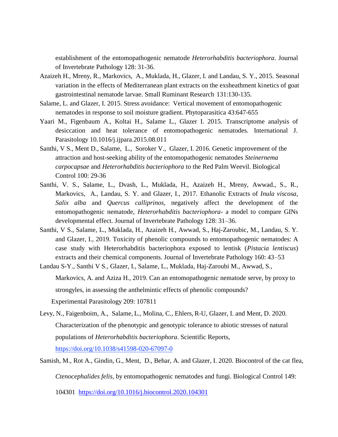establishment of the entomopathogenic nematode *Heterorhabditis bacteriophora*. Journal of Invertebrate Pathology 128: 31-36.

- Azaizeh H., Mreny, R., Markovics, A., Muklada, H., Glazer, I. and Landau, S. Y., 2015. Seasonal variation in the effects of Mediterranean plant extracts on the exsheathment kinetics of goat gastrointestinal nematode larvae. Small Ruminant Research 131:130-135.
- Salame, L. and Glazer, I. 2015. Stress avoidance: Vertical movement of entomopathogenic nematodes in response to soil moisture gradient. Phytoparasitica 43:647-655
- Yaari M., Figenbaum A., Koltai H., Salame L., Glazer I. 2015. Transcriptome analysis of desiccation and heat tolerance of entomopathogenic nematodes. International J. Parasitology 10.1016/j.ijpara.2015.08.011
- Santhi, V S., Ment D., Salame, L., Soroker V., Glazer, I. 2016. Genetic improvement of the attraction and host-seeking ability of the entomopathogenic nematodes *Steinernema carpocapsae* and *Heterorhabditis bacteriophora* to the Red Palm Weevil. Biological Control 100: 29-36
- Santhi, V. S., Salame, L., Dvash, L., Muklada, H., Azaizeh H., Mreny, Awwad., S., R., Markovics, A., Landau, S. Y. and Glazer, I., 2017. Ethanolic Extracts of *Inula viscosa*, *Salix alba* and *Quercus calliprinos*, negatively affect the development of the entomopathogenic nematode, *Heterorhabditis bacteriophora*- a model to compare GINs developmental effect. Journal of Invertebrate Pathology 128: 31–36.
- Santhi, V S., Salame, L., Muklada, H., Azaizeh H., Awwad, S., Haj-Zaroubic, M., Landau, S. Y. and Glazer, I., 2019. Toxicity of phenolic compounds to entomopathogenic nematodes: A case study with Heterorhabditis bacteriophora exposed to lentisk (*Pistacia lentiscus*) extracts and their chemical components. Journal of Invertebrate Pathology 160: 43–53

Landau S-Y., Santhi V S., Glazer, I., Salame, L., Muklada, Haj-Zaroubi M., Awwad, S., Markovics, A. and Aziza H., 2019. Can an entomopathogenic nematode serve, by proxy to strongyles, in assessing the anthelmintic effects of phenolic compounds?

Experimental Parasitology 209: 107811

Levy, N., Faigenboim, A., Salame, L., Molina, C., Ehlers, R-U, Glazer, I. and Ment, D. 2020. Characterization of the phenotypic and genotypic tolerance to abiotic stresses of natural populations of *Heterorhabditis bacteriophora*. Scientific Reports, <https://doi.org/10.1038/s41598-020-67097-0>

Samish, M., Rot A., Gindin, G., Ment, D., Behar, A. and Glazer, I. 2020. Biocontrol of the cat flea,

*Ctenocephalides felis,* by entomopathogenic nematodes and fungi. Biological Control 149:

104301 <https://doi.org/10.1016/j.biocontrol.2020.104301>